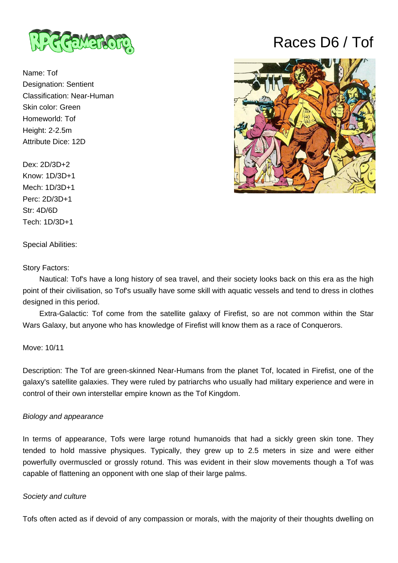

Name: Tof Designation: Sentient Classification: Near-Human Skin color: Green Homeworld: Tof Height: 2-2.5m Attribute Dice: 12D

Dex: 2D/3D+2 Know: 1D/3D+1 Mech: 1D/3D+1 Perc: 2D/3D+1 Str: 4D/6D Tech: 1D/3D+1

Special Abilities:

Story Factors:

 Nautical: Tof's have a long history of sea travel, and their society looks back on this era as the high point of their civilisation, so Tof's usually have some skill with aquatic vessels and tend to dress in clothes designed in this period.

 Extra-Galactic: Tof come from the satellite galaxy of Firefist, so are not common within the Star Wars Galaxy, but anyone who has knowledge of Firefist will know them as a race of Conquerors.

Move: 10/11

Description: The Tof are green-skinned Near-Humans from the planet Tof, located in Firefist, one of the galaxy's satellite galaxies. They were ruled by patriarchs who usually had military experience and were in control of their own interstellar empire known as the Tof Kingdom.

## Biology and appearance

In terms of appearance, Tofs were large rotund humanoids that had a sickly green skin tone. They tended to hold massive physiques. Typically, they grew up to 2.5 meters in size and were either powerfully overmuscled or grossly rotund. This was evident in their slow movements though a Tof was capable of flattening an opponent with one slap of their large palms.

## Society and culture

Tofs often acted as if devoid of any compassion or morals, with the majority of their thoughts dwelling on

## Races D6 / Tof

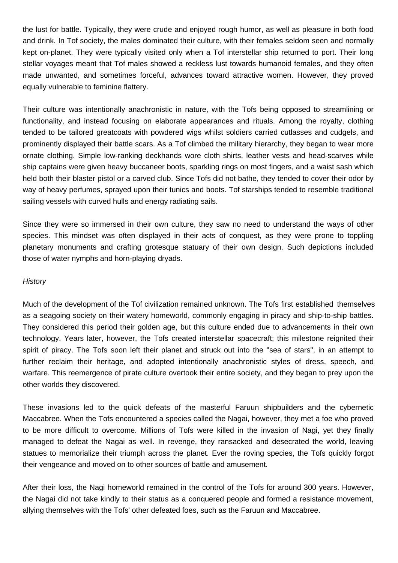the lust for battle. Typically, they were crude and enjoyed rough humor, as well as pleasure in both food and drink. In Tof society, the males dominated their culture, with their females seldom seen and normally kept on-planet. They were typically visited only when a Tof interstellar ship returned to port. Their long stellar voyages meant that Tof males showed a reckless lust towards humanoid females, and they often made unwanted, and sometimes forceful, advances toward attractive women. However, they proved equally vulnerable to feminine flattery.

Their culture was intentionally anachronistic in nature, with the Tofs being opposed to streamlining or functionality, and instead focusing on elaborate appearances and rituals. Among the royalty, clothing tended to be tailored greatcoats with powdered wigs whilst soldiers carried cutlasses and cudgels, and prominently displayed their battle scars. As a Tof climbed the military hierarchy, they began to wear more ornate clothing. Simple low-ranking deckhands wore cloth shirts, leather vests and head-scarves while ship captains were given heavy buccaneer boots, sparkling rings on most fingers, and a waist sash which held both their blaster pistol or a carved club. Since Tofs did not bathe, they tended to cover their odor by way of heavy perfumes, sprayed upon their tunics and boots. Tof starships tended to resemble traditional sailing vessels with curved hulls and energy radiating sails.

Since they were so immersed in their own culture, they saw no need to understand the ways of other species. This mindset was often displayed in their acts of conquest, as they were prone to toppling planetary monuments and crafting grotesque statuary of their own design. Such depictions included those of water nymphs and horn-playing dryads.

## **History**

Much of the development of the Tof civilization remained unknown. The Tofs first established themselves as a seagoing society on their watery homeworld, commonly engaging in piracy and ship-to-ship battles. They considered this period their golden age, but this culture ended due to advancements in their own technology. Years later, however, the Tofs created interstellar spacecraft; this milestone reignited their spirit of piracy. The Tofs soon left their planet and struck out into the "sea of stars", in an attempt to further reclaim their heritage, and adopted intentionally anachronistic styles of dress, speech, and warfare. This reemergence of pirate culture overtook their entire society, and they began to prey upon the other worlds they discovered.

These invasions led to the quick defeats of the masterful Faruun shipbuilders and the cybernetic Maccabree. When the Tofs encountered a species called the Nagai, however, they met a foe who proved to be more difficult to overcome. Millions of Tofs were killed in the invasion of Nagi, yet they finally managed to defeat the Nagai as well. In revenge, they ransacked and desecrated the world, leaving statues to memorialize their triumph across the planet. Ever the roving species, the Tofs quickly forgot their vengeance and moved on to other sources of battle and amusement.

After their loss, the Nagi homeworld remained in the control of the Tofs for around 300 years. However, the Nagai did not take kindly to their status as a conquered people and formed a resistance movement, allying themselves with the Tofs' other defeated foes, such as the Faruun and Maccabree.